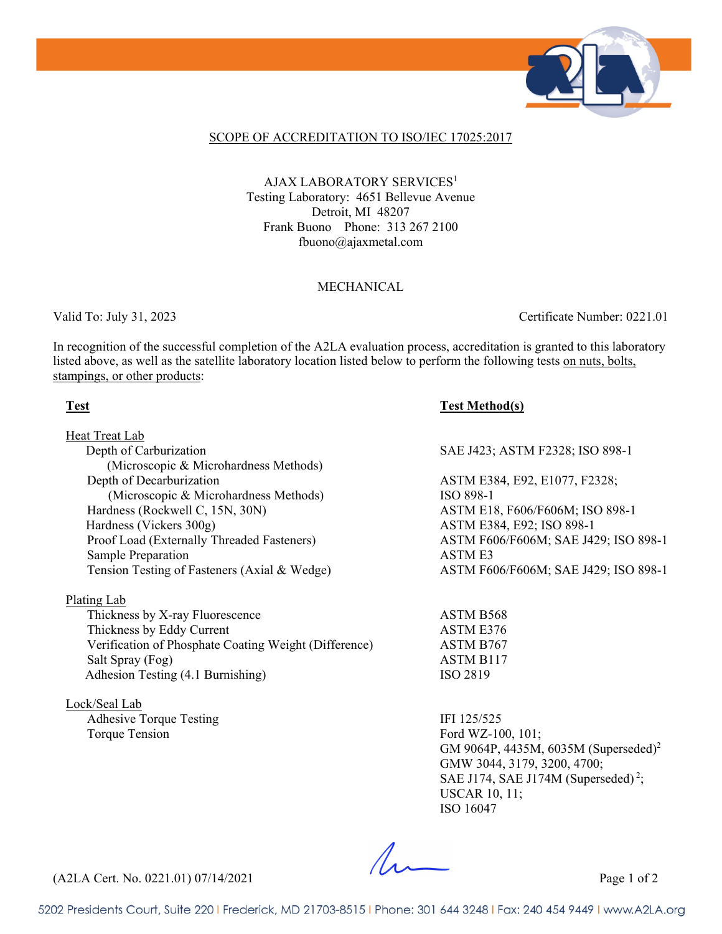

#### SCOPE OF ACCREDITATION TO ISO/IEC 17025:2017

AJAX LABORATORY SERVICES<sup>1</sup> Testing Laboratory: 4651 Bellevue Avenue Detroit, MI 48207 Frank Buono Phone: 313 267 2100 fbuono@ajaxmetal.com

#### MECHANICAL

Valid To: July 31, 2023 Certificate Number: 0221.01

In recognition of the successful completion of the A2LA evaluation process, accreditation is granted to this laboratory listed above, as well as the satellite laboratory location listed below to perform the following tests on nuts, bolts, stampings, or other products:

#### **Test Test Method(s)**

| Heat Treat Lab                                        |                                      |
|-------------------------------------------------------|--------------------------------------|
| Depth of Carburization                                | SAE J423; ASTM F2328; ISO 898-1      |
| (Microscopic & Microhardness Methods)                 |                                      |
| Depth of Decarburization                              | ASTM E384, E92, E1077, F2328;        |
| (Microscopic & Microhardness Methods)                 | ISO 898-1                            |
| Hardness (Rockwell C, 15N, 30N)                       | ASTM E18, F606/F606M; ISO 898-1      |
| Hardness (Vickers 300g)                               | ASTM E384, E92; ISO 898-1            |
| Proof Load (Externally Threaded Fasteners)            | ASTM F606/F606M; SAE J429; ISO 898-1 |
| Sample Preparation                                    | ASTM E3                              |
| Tension Testing of Fasteners (Axial & Wedge)          | ASTM F606/F606M; SAE J429; ISO 898-1 |
| Plating Lab                                           |                                      |
| Thickness by X-ray Fluorescence                       | ASTM B568                            |
| Thickness by Eddy Current                             | ASTM E376                            |
| Verification of Phosphate Coating Weight (Difference) | ASTM B767                            |
| Salt Spray (Fog)                                      | ASTM B117                            |

Adhesion Testing (4.1 Burnishing) ISO 2819

Lock/Seal Lab Adhesive Torque Testing IFI 125/525 Torque Tension Ford WZ-100, 101;

GM 9064P, 4435M, 6035M (Superseded)<sup>2</sup> GMW 3044, 3179, 3200, 4700; SAE J174, SAE J174M (Superseded)<sup>2</sup>; USCAR 10, 11; ISO 16047

 $\Lambda$ .

(A2LA Cert. No. 0221.01) 07/14/2021 Page 1 of 2

5202 Presidents Court, Suite 220 | Frederick, MD 21703-8515 | Phone: 301 644 3248 | Fax: 240 454 9449 | www.A2LA.org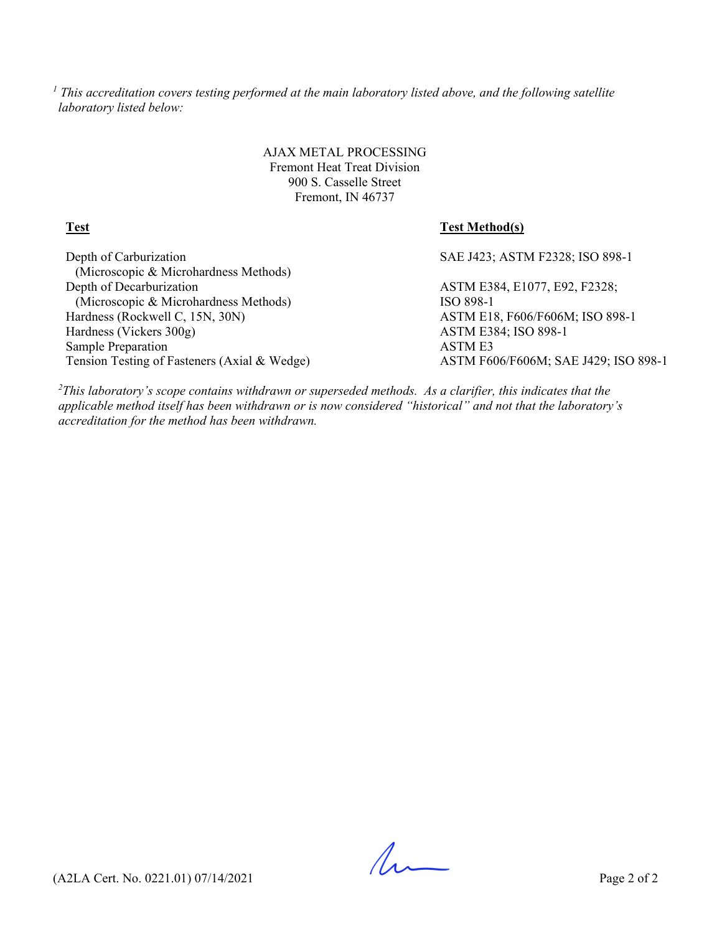*<sup>1</sup> This accreditation covers testing performed at the main laboratory listed above, and the following satellite laboratory listed below:*

> AJAX METAL PROCESSING Fremont Heat Treat Division 900 S. Casselle Street Fremont, IN 46737

### **Test Test Method(s)**

Depth of Carburization (Microscopic & Microhardness Methods) Depth of Decarburization (Microscopic & Microhardness Methods) Hardness (Rockwell C, 15N, 30N) ASTM E18, F606/F606M; ISO 898-1 Hardness (Vickers 300g) ASTM E384; ISO 898-1 Sample Preparation ASTM E3 Tension Testing of Fasteners (Axial & Wedge) ASTM F606/F606M; SAE J429; ISO 898-1

SAE J423; ASTM F2328; ISO 898-1

ASTM E384, E1077, E92, F2328; ISO 898-1

*2 This laboratory's scope contains withdrawn or superseded methods. As a clarifier, this indicates that the applicable method itself has been withdrawn or is now considered "historical" and not that the laboratory's accreditation for the method has been withdrawn.*

 $\Lambda$